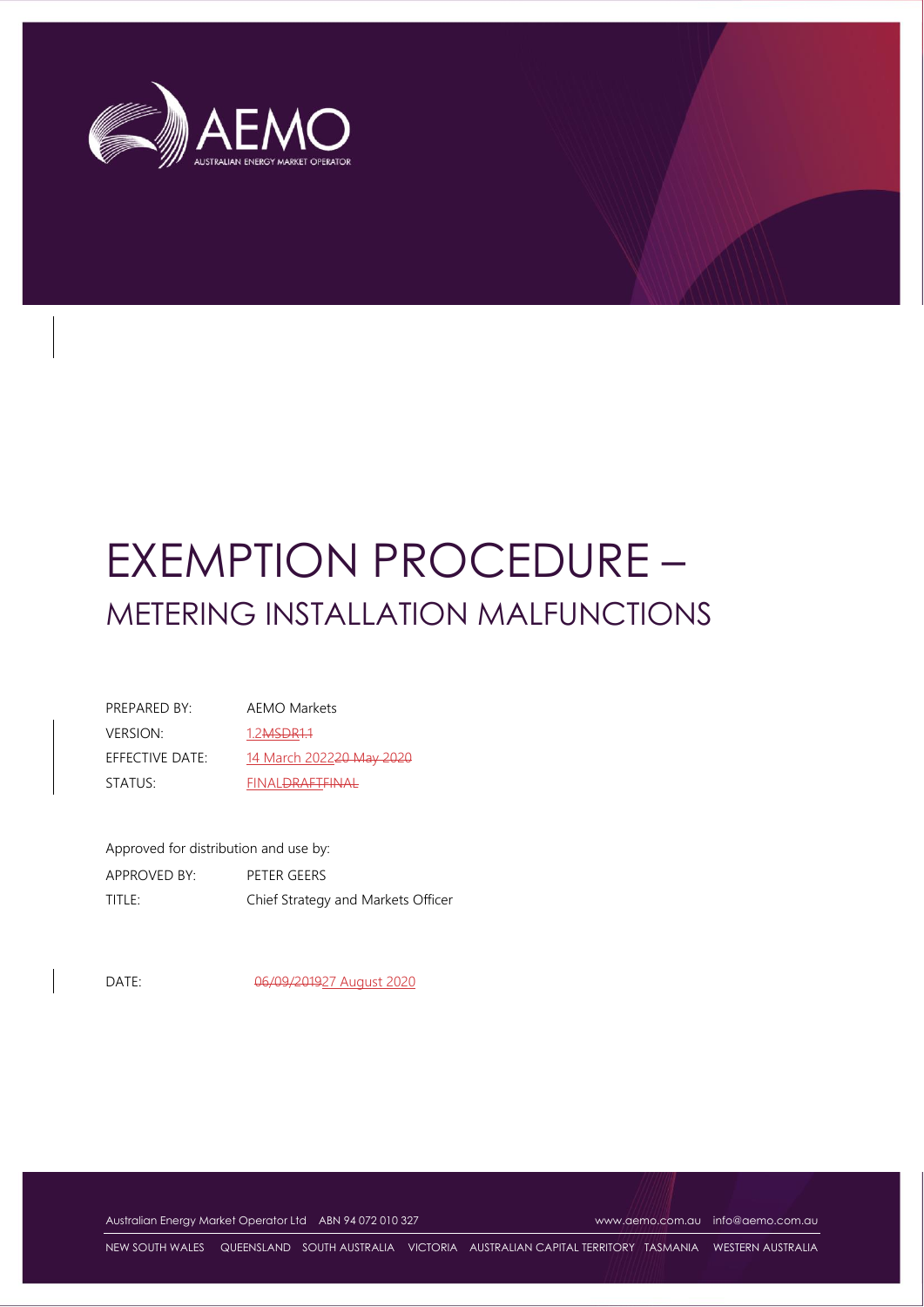

# EXEMPTION PROCEDURE – METERING INSTALLATION MALFUNCTIONS

| PRFPARFD BY:    | AEMO Markets                |
|-----------------|-----------------------------|
| <b>VERSION:</b> | 1.2 <del>MSDR1.1</del>      |
| EFFECTIVE DATE: | 14 March 202220 May 2020    |
| STATUS:         | FINAL <del>DRAFTEINAL</del> |

| Approved for distribution and use by: |                                    |  |  |
|---------------------------------------|------------------------------------|--|--|
| APPROVED BY:                          | PETER GEERS                        |  |  |
| TITLE:                                | Chief Strategy and Markets Officer |  |  |

DATE: 06/09/201927 August 2020

Australian Energy Market Operator Ltd ABN 94 072 010 327 [www.aemo.com.au](http://www.aemo.com.au/) [info@aemo.com.au](mailto:info@aemo.com.au)

NEW SOUTH WALES QUEENSLAND SOUTH AUSTRALIA VICTORIA AUSTRALIAN CAPITAL TERRITORY TASMANIA WESTERN AUSTRALIA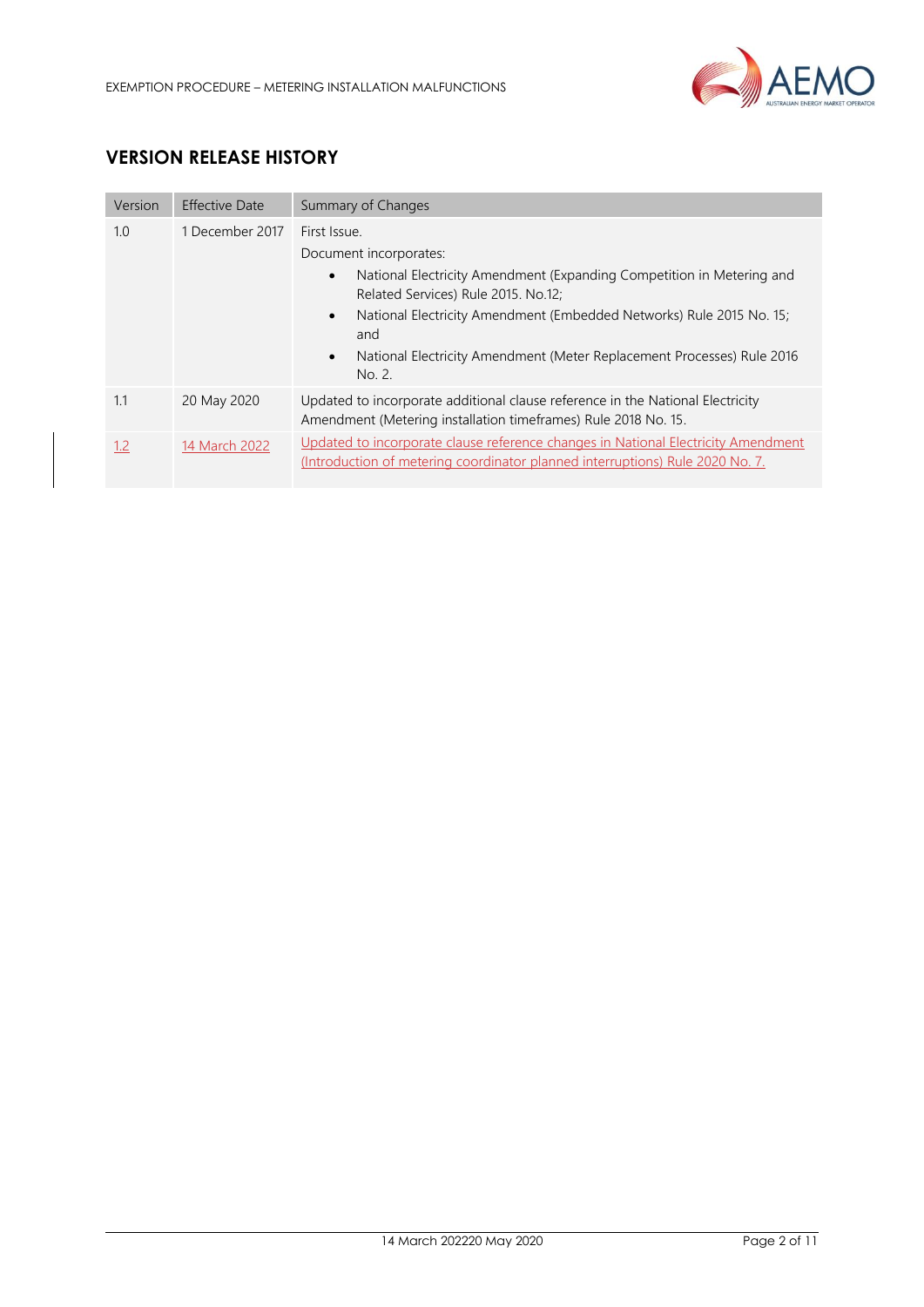

# **VERSION RELEASE HISTORY**

| Version | <b>Effective Date</b> | Summary of Changes                                                                                                                                                                                                                                                                                                                                  |  |
|---------|-----------------------|-----------------------------------------------------------------------------------------------------------------------------------------------------------------------------------------------------------------------------------------------------------------------------------------------------------------------------------------------------|--|
| 1.0     | 1 December 2017       | First Issue.<br>Document incorporates:<br>National Electricity Amendment (Expanding Competition in Metering and<br>$\bullet$<br>Related Services) Rule 2015, No.12;<br>National Electricity Amendment (Embedded Networks) Rule 2015 No. 15;<br>$\bullet$<br>and<br>National Electricity Amendment (Meter Replacement Processes) Rule 2016<br>No. 2. |  |
| 1.1     | 20 May 2020           | Updated to incorporate additional clause reference in the National Electricity<br>Amendment (Metering installation timeframes) Rule 2018 No. 15.                                                                                                                                                                                                    |  |
| 1.2     | 14 March 2022         | Updated to incorporate clause reference changes in National Electricity Amendment<br>(Introduction of metering coordinator planned interruptions) Rule 2020 No. 7.                                                                                                                                                                                  |  |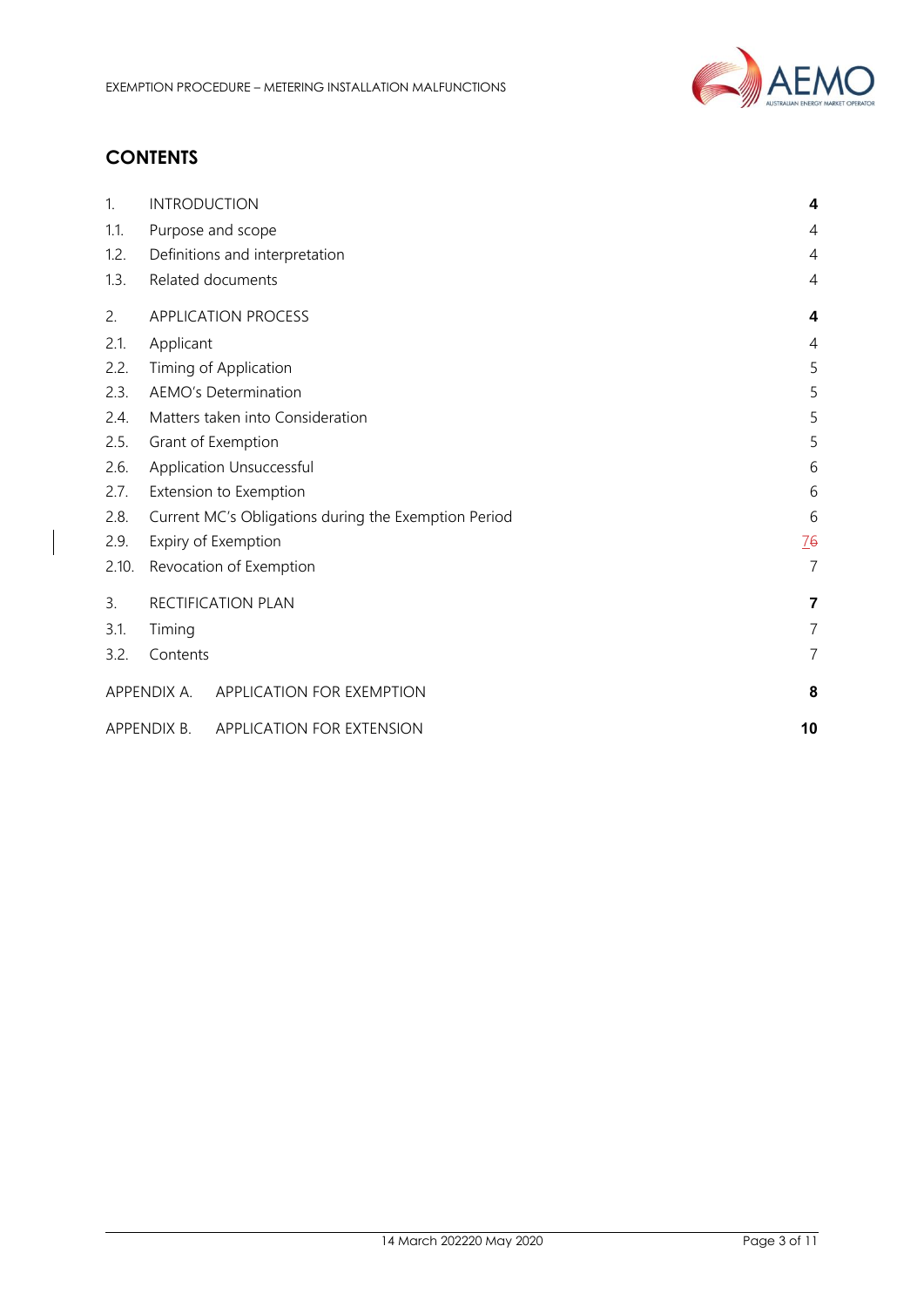

# **CONTENTS**

| 1.    | <b>INTRODUCTION</b>                                  | 4                       |  |
|-------|------------------------------------------------------|-------------------------|--|
| 1.1.  | Purpose and scope                                    | 4                       |  |
| 1.2.  | Definitions and interpretation                       | $\overline{4}$          |  |
| 1.3.  | Related documents                                    | 4                       |  |
| 2.    | APPLICATION PROCESS                                  | 4                       |  |
| 2.1.  | Applicant                                            | $\overline{4}$          |  |
| 2.2.  | Timing of Application                                | 5                       |  |
| 2.3.  | <b>AEMO's Determination</b>                          | 5                       |  |
| 2.4.  | Matters taken into Consideration                     | 5                       |  |
| 2.5.  | Grant of Exemption                                   | 5                       |  |
| 2.6.  | Application Unsuccessful                             | 6                       |  |
| 2.7.  | Extension to Exemption                               |                         |  |
| 2.8.  | Current MC's Obligations during the Exemption Period |                         |  |
| 2.9.  | Expiry of Exemption                                  |                         |  |
| 2.10. | $\overline{7}$<br>Revocation of Exemption            |                         |  |
| 3.    | RECTIFICATION PLAN                                   | $\overline{\mathbf{z}}$ |  |
| 3.1.  | Timing                                               | $\overline{7}$          |  |
| 3.2.  | Contents                                             | 7                       |  |
|       | APPENDIX A. APPLICATION FOR EXEMPTION                | 8                       |  |
|       | APPENDIX B.<br>APPLICATION FOR EXTENSION             | 10                      |  |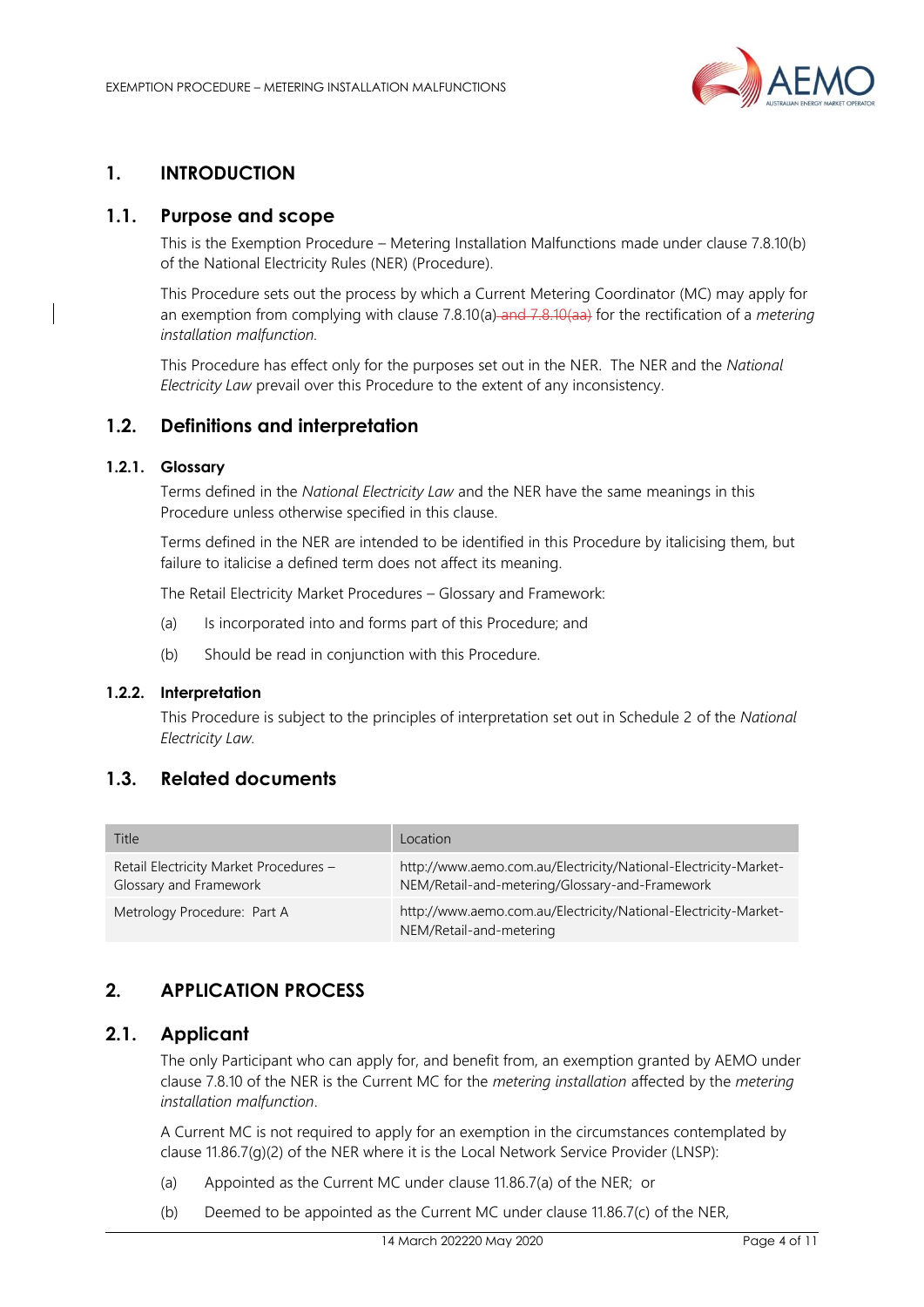

# <span id="page-3-0"></span>**1. INTRODUCTION**

#### <span id="page-3-1"></span>**1.1. Purpose and scope**

This is the Exemption Procedure – Metering Installation Malfunctions made under clause 7.8.10(b) of the National Electricity Rules (NER) (Procedure).

This Procedure sets out the process by which a Current Metering Coordinator (MC) may apply for an exemption from complying with clause 7.8.10(a) and 7.8.10(aa) for the rectification of a *metering installation malfunction.*

This Procedure has effect only for the purposes set out in the NER. The NER and the *National Electricity Law* prevail over this Procedure to the extent of any inconsistency.

#### <span id="page-3-2"></span>**1.2. Definitions and interpretation**

#### **1.2.1. Glossary**

Terms defined in the *National Electricity Law* and the NER have the same meanings in this Procedure unless otherwise specified in this clause.

Terms defined in the NER are intended to be identified in this Procedure by italicising them, but failure to italicise a defined term does not affect its meaning.

The Retail Electricity Market Procedures – Glossary and Framework:

- (a) Is incorporated into and forms part of this Procedure; and
- (b) Should be read in conjunction with this Procedure.

#### **1.2.2. Interpretation**

This Procedure is subject to the principles of interpretation set out in Schedule 2 of the *National Electricity Law.*

## <span id="page-3-3"></span>**1.3. Related documents**

| Title                                                            | Location                                                                                                          |
|------------------------------------------------------------------|-------------------------------------------------------------------------------------------------------------------|
| Retail Electricity Market Procedures -<br>Glossary and Framework | http://www.aemo.com.au/Electricity/National-Electricity-Market-<br>NEM/Retail-and-metering/Glossary-and-Framework |
| Metrology Procedure: Part A                                      | http://www.aemo.com.au/Electricity/National-Electricity-Market-<br>NEM/Retail-and-metering                        |

# <span id="page-3-4"></span>**2. APPLICATION PROCESS**

#### <span id="page-3-5"></span>**2.1. Applicant**

The only Participant who can apply for, and benefit from, an exemption granted by AEMO under clause 7.8.10 of the NER is the Current MC for the *metering installation* affected by the *metering installation malfunction*.

A Current MC is not required to apply for an exemption in the circumstances contemplated by clause 11.86.7(g)(2) of the NER where it is the Local Network Service Provider (LNSP):

- (a) Appointed as the Current MC under clause 11.86.7(a) of the NER; or
- (b) Deemed to be appointed as the Current MC under clause 11.86.7(c) of the NER,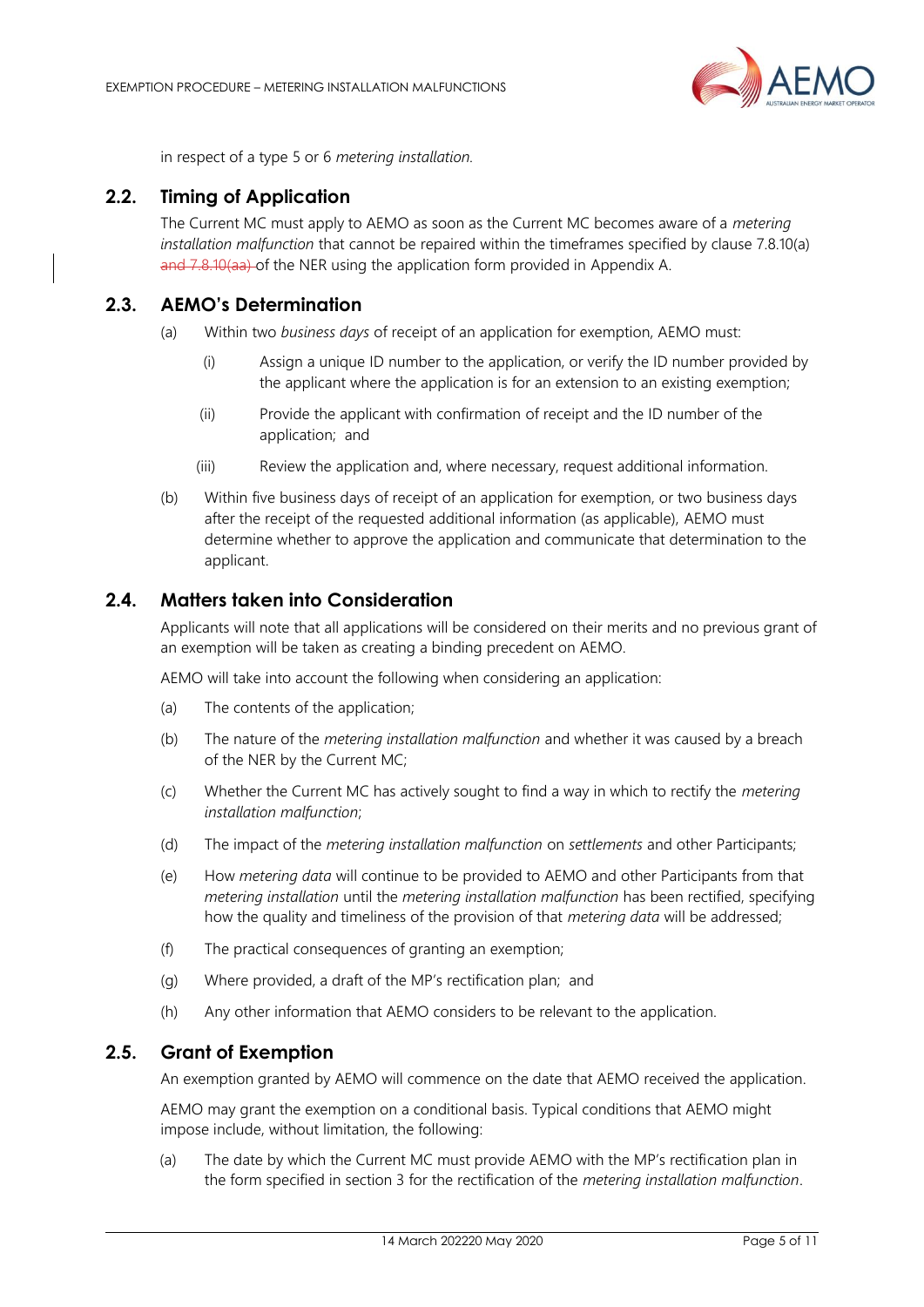

in respect of a type 5 or 6 *metering installation.*

## <span id="page-4-0"></span>**2.2. Timing of Application**

The Current MC must apply to AEMO as soon as the Current MC becomes aware of a *metering installation malfunction* that cannot be repaired within the timeframes specified by clause 7.8.10(a) and 7.8.10(aa) of the NER using the application form provided in Appendix A.

## <span id="page-4-1"></span>**2.3. AEMO's Determination**

- (a) Within two *business days* of receipt of an application for exemption, AEMO must:
	- (i) Assign a unique ID number to the application, or verify the ID number provided by the applicant where the application is for an extension to an existing exemption;
	- (ii) Provide the applicant with confirmation of receipt and the ID number of the application; and
	- (iii) Review the application and, where necessary, request additional information.
- (b) Within five business days of receipt of an application for exemption, or two business days after the receipt of the requested additional information (as applicable), AEMO must determine whether to approve the application and communicate that determination to the applicant.

#### <span id="page-4-2"></span>**2.4. Matters taken into Consideration**

Applicants will note that all applications will be considered on their merits and no previous grant of an exemption will be taken as creating a binding precedent on AEMO.

AEMO will take into account the following when considering an application:

- (a) The contents of the application;
- (b) The nature of the *metering installation malfunction* and whether it was caused by a breach of the NER by the Current MC;
- (c) Whether the Current MC has actively sought to find a way in which to rectify the *metering installation malfunction*;
- (d) The impact of the *metering installation malfunction* on *settlements* and other Participants;
- (e) How *metering data* will continue to be provided to AEMO and other Participants from that *metering installation* until the *metering installation malfunction* has been rectified, specifying how the quality and timeliness of the provision of that *metering data* will be addressed;
- (f) The practical consequences of granting an exemption;
- (g) Where provided, a draft of the MP's rectification plan; and
- (h) Any other information that AEMO considers to be relevant to the application.

#### <span id="page-4-3"></span>**2.5. Grant of Exemption**

An exemption granted by AEMO will commence on the date that AEMO received the application.

AEMO may grant the exemption on a conditional basis. Typical conditions that AEMO might impose include, without limitation, the following:

(a) The date by which the Current MC must provide AEMO with the MP's rectification plan in the form specified in section 3 for the rectification of the *metering installation malfunction*.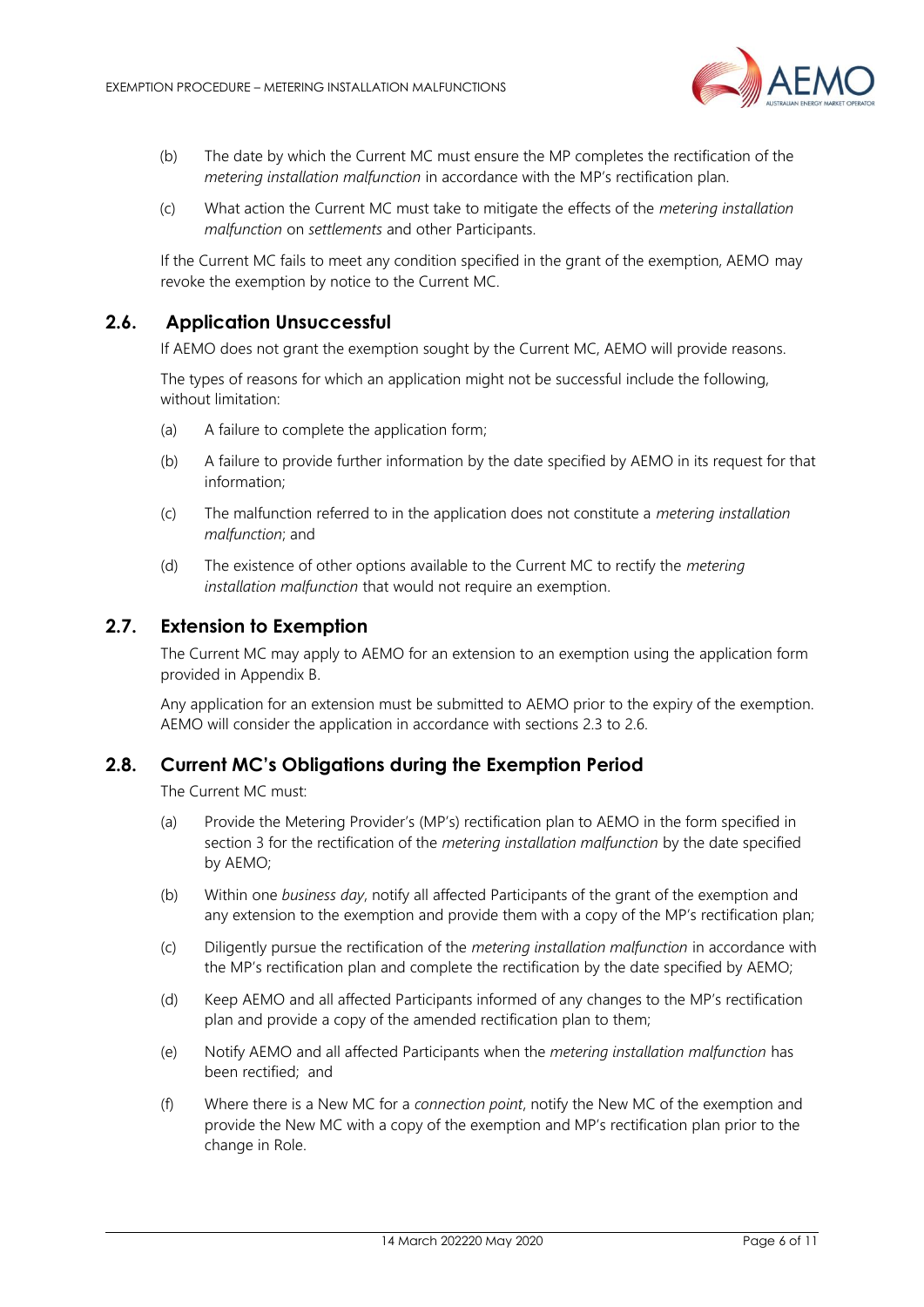

- (b) The date by which the Current MC must ensure the MP completes the rectification of the *metering installation malfunction* in accordance with the MP's rectification plan.
- (c) What action the Current MC must take to mitigate the effects of the *metering installation malfunction* on *settlements* and other Participants.

If the Current MC fails to meet any condition specified in the grant of the exemption, AEMO may revoke the exemption by notice to the Current MC.

#### **2.6. Application Unsuccessful**

<span id="page-5-0"></span>If AEMO does not grant the exemption sought by the Current MC, AEMO will provide reasons.

The types of reasons for which an application might not be successful include the following, without limitation:

- (a) A failure to complete the application form;
- (b) A failure to provide further information by the date specified by AEMO in its request for that information;
- (c) The malfunction referred to in the application does not constitute a *metering installation malfunction*; and
- (d) The existence of other options available to the Current MC to rectify the *metering installation malfunction* that would not require an exemption.

#### <span id="page-5-1"></span>**2.7. Extension to Exemption**

The Current MC may apply to AEMO for an extension to an exemption using the application form provided in Appendix B.

Any application for an extension must be submitted to AEMO prior to the expiry of the exemption. AEMO will consider the application in accordance with sections 2.3 to 2.6.

#### <span id="page-5-2"></span>**2.8. Current MC's Obligations during the Exemption Period**

The Current MC must:

- (a) Provide the Metering Provider's (MP's) rectification plan to AEMO in the form specified in section 3 for the rectification of the *metering installation malfunction* by the date specified by AEMO;
- (b) Within one *business day*, notify all affected Participants of the grant of the exemption and any extension to the exemption and provide them with a copy of the MP's rectification plan;
- (c) Diligently pursue the rectification of the *metering installation malfunction* in accordance with the MP's rectification plan and complete the rectification by the date specified by AEMO;
- (d) Keep AEMO and all affected Participants informed of any changes to the MP's rectification plan and provide a copy of the amended rectification plan to them;
- (e) Notify AEMO and all affected Participants when the *metering installation malfunction* has been rectified; and
- (f) Where there is a New MC for a *connection point*, notify the New MC of the exemption and provide the New MC with a copy of the exemption and MP's rectification plan prior to the change in Role.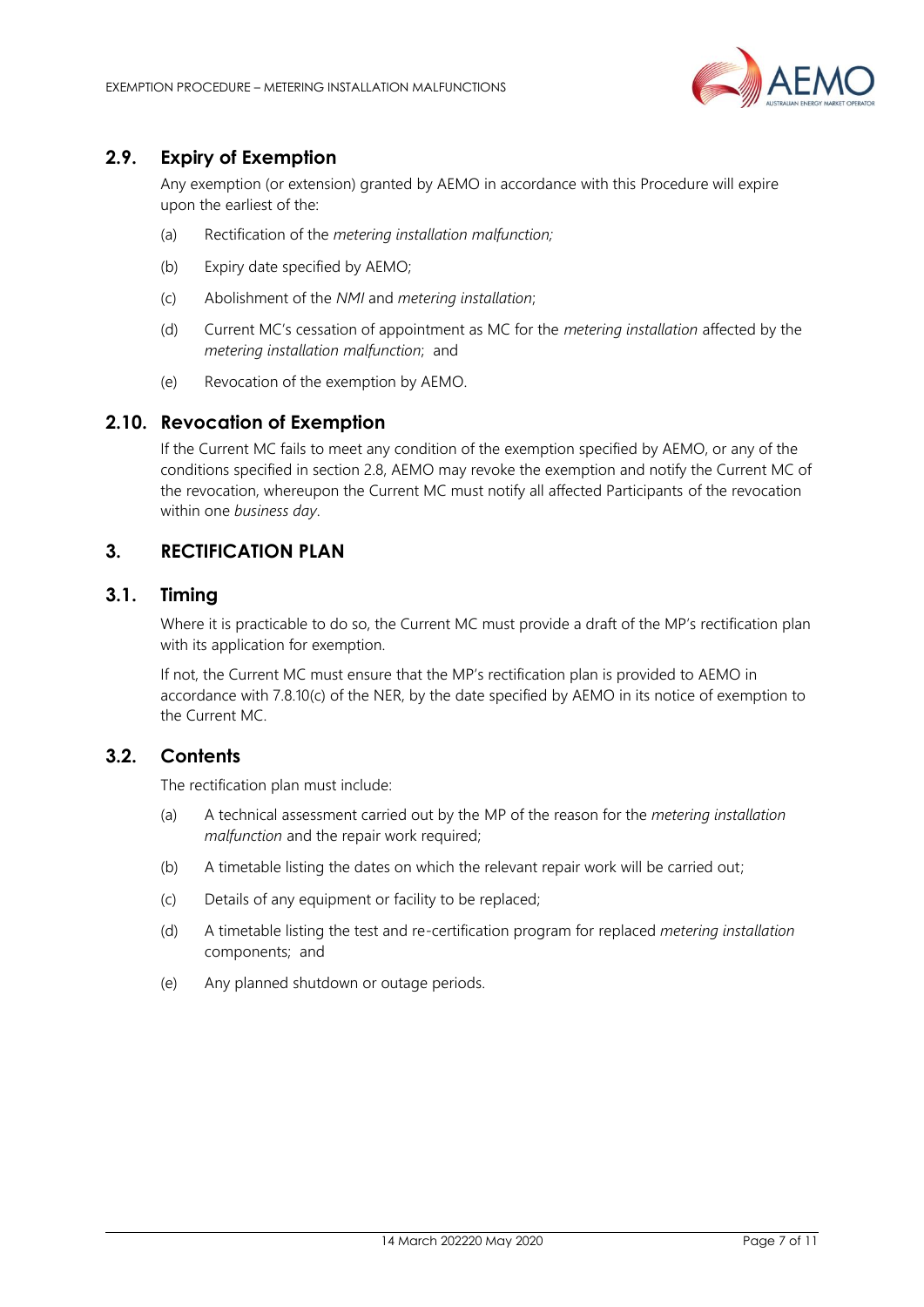

# <span id="page-6-0"></span>**2.9. Expiry of Exemption**

Any exemption (or extension) granted by AEMO in accordance with this Procedure will expire upon the earliest of the:

- (a) Rectification of the *metering installation malfunction;*
- (b) Expiry date specified by AEMO;
- (c) Abolishment of the *NMI* and *metering installation*;
- (d) Current MC's cessation of appointment as MC for the *metering installation* affected by the *metering installation malfunction*; and
- (e) Revocation of the exemption by AEMO.

#### <span id="page-6-1"></span>**2.10. Revocation of Exemption**

If the Current MC fails to meet any condition of the exemption specified by AEMO, or any of the conditions specified in section 2.8, AEMO may revoke the exemption and notify the Current MC of the revocation, whereupon the Current MC must notify all affected Participants of the revocation within one *business day*.

# <span id="page-6-2"></span>**3. RECTIFICATION PLAN**

#### <span id="page-6-3"></span>**3.1. Timing**

Where it is practicable to do so, the Current MC must provide a draft of the MP's rectification plan with its application for exemption.

If not, the Current MC must ensure that the MP's rectification plan is provided to AEMO in accordance with 7.8.10(c) of the NER, by the date specified by AEMO in its notice of exemption to the Current MC.

#### <span id="page-6-4"></span>**3.2. Contents**

The rectification plan must include:

- (a) A technical assessment carried out by the MP of the reason for the *metering installation malfunction* and the repair work required;
- (b) A timetable listing the dates on which the relevant repair work will be carried out;
- (c) Details of any equipment or facility to be replaced;
- (d) A timetable listing the test and re-certification program for replaced *metering installation* components; and
- (e) Any planned shutdown or outage periods.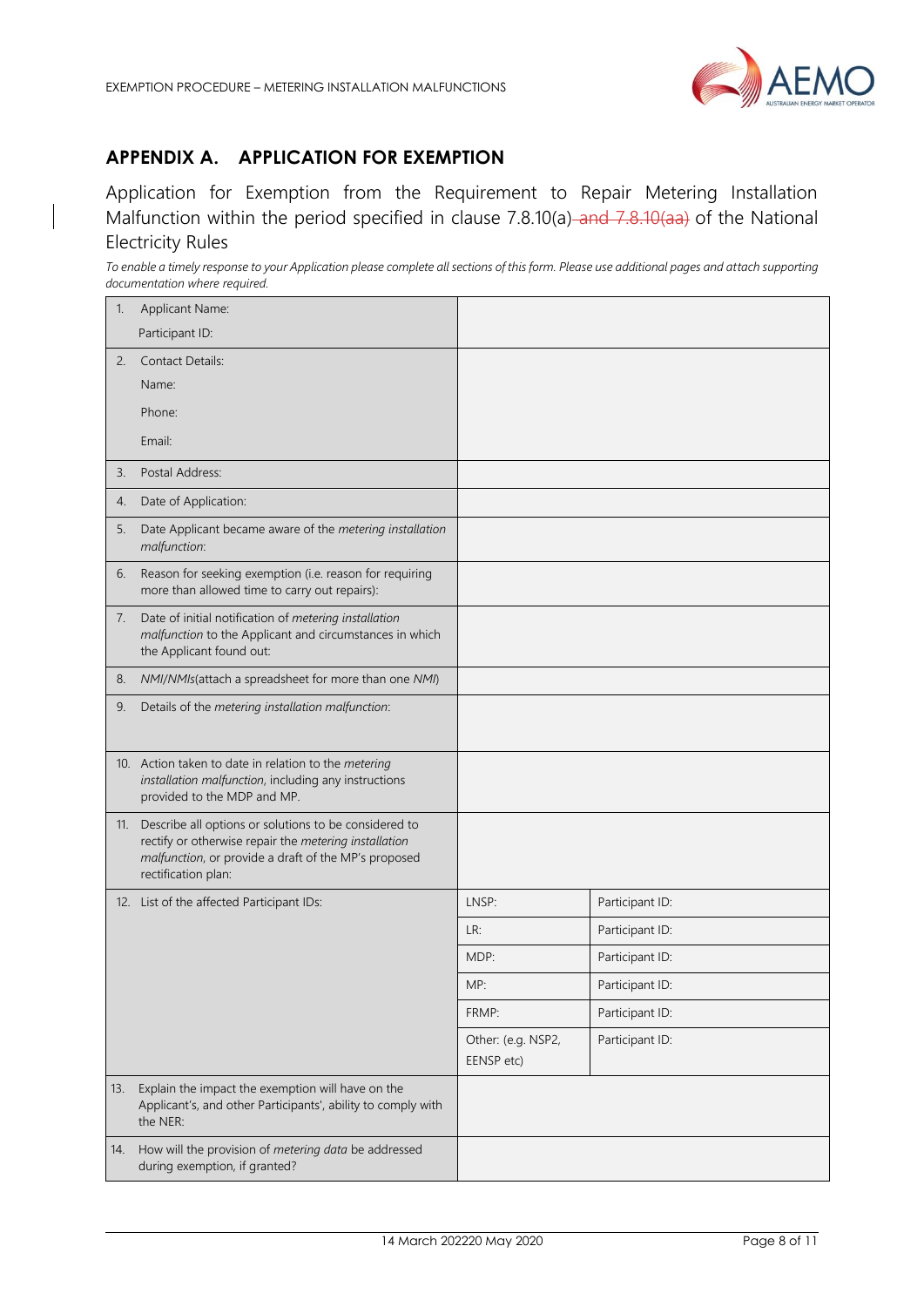

# <span id="page-7-0"></span>**APPENDIX A. APPLICATION FOR EXEMPTION**

Application for Exemption from the Requirement to Repair Metering Installation Malfunction within the period specified in clause 7.8.10(a) and 7.8.10(aa) of the National Electricity Rules

*To enable a timely response to your Application please complete all sections of this form. Please use additional pages and attach supporting documentation where required.*

| 1.  | Applicant Name:<br>Participant ID:                                                                                                                                                                |                                  |                 |
|-----|---------------------------------------------------------------------------------------------------------------------------------------------------------------------------------------------------|----------------------------------|-----------------|
| 2.  | <b>Contact Details:</b>                                                                                                                                                                           |                                  |                 |
|     | Name:                                                                                                                                                                                             |                                  |                 |
|     | Phone:                                                                                                                                                                                            |                                  |                 |
|     | Email:                                                                                                                                                                                            |                                  |                 |
| 3.  | Postal Address:                                                                                                                                                                                   |                                  |                 |
| 4.  | Date of Application:                                                                                                                                                                              |                                  |                 |
| 5.  | Date Applicant became aware of the metering installation<br>malfunction:                                                                                                                          |                                  |                 |
| 6.  | Reason for seeking exemption (i.e. reason for requiring<br>more than allowed time to carry out repairs):                                                                                          |                                  |                 |
| 7.  | Date of initial notification of metering installation<br>malfunction to the Applicant and circumstances in which<br>the Applicant found out:                                                      |                                  |                 |
| 8.  | NMI/NMIs(attach a spreadsheet for more than one NMI)                                                                                                                                              |                                  |                 |
| 9.  | Details of the metering installation malfunction:                                                                                                                                                 |                                  |                 |
|     | 10. Action taken to date in relation to the metering<br>installation malfunction, including any instructions<br>provided to the MDP and MP.                                                       |                                  |                 |
|     | 11. Describe all options or solutions to be considered to<br>rectify or otherwise repair the metering installation<br>malfunction, or provide a draft of the MP's proposed<br>rectification plan: |                                  |                 |
|     | 12. List of the affected Participant IDs:                                                                                                                                                         | LNSP:                            | Participant ID: |
|     |                                                                                                                                                                                                   | LR:                              | Participant ID: |
|     |                                                                                                                                                                                                   | MDP:                             | Participant ID: |
|     |                                                                                                                                                                                                   | MP:                              | Participant ID: |
|     |                                                                                                                                                                                                   | FRMP:                            | Participant ID: |
|     |                                                                                                                                                                                                   | Other: (e.g. NSP2,<br>EENSP etc) | Participant ID: |
| 13. | Explain the impact the exemption will have on the<br>Applicant's, and other Participants', ability to comply with<br>the NER:                                                                     |                                  |                 |
| 14. | How will the provision of metering data be addressed<br>during exemption, if granted?                                                                                                             |                                  |                 |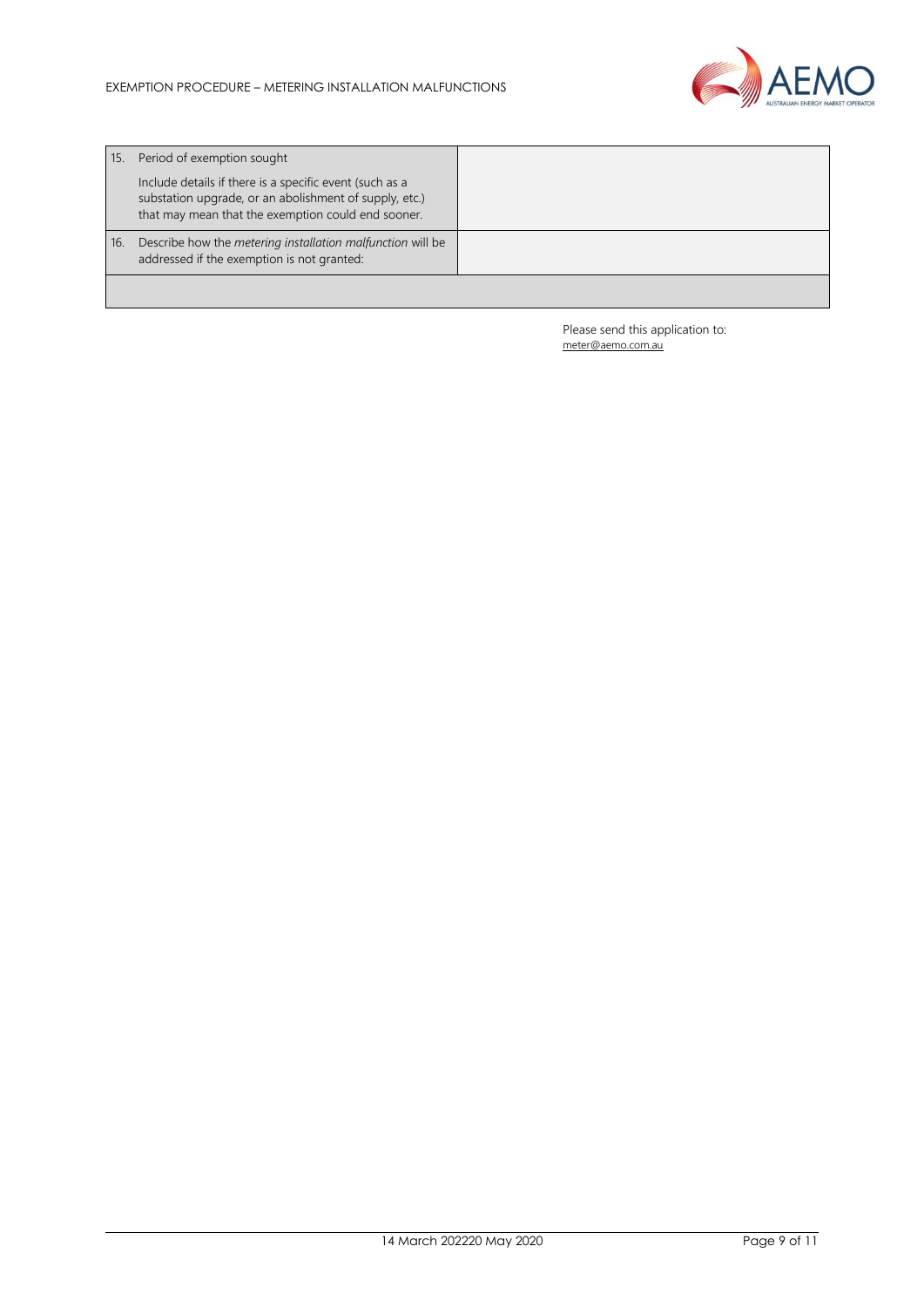

| 15. | Period of exemption sought                                                                                                                                              |  |
|-----|-------------------------------------------------------------------------------------------------------------------------------------------------------------------------|--|
|     | Include details if there is a specific event (such as a<br>substation upgrade, or an abolishment of supply, etc.)<br>that may mean that the exemption could end sooner. |  |
| 16. | Describe how the metering installation malfunction will be<br>addressed if the exemption is not granted:                                                                |  |
|     |                                                                                                                                                                         |  |

Please send this application to: [meter@aemo.com.au](mailto:meter@nemmco.com.au)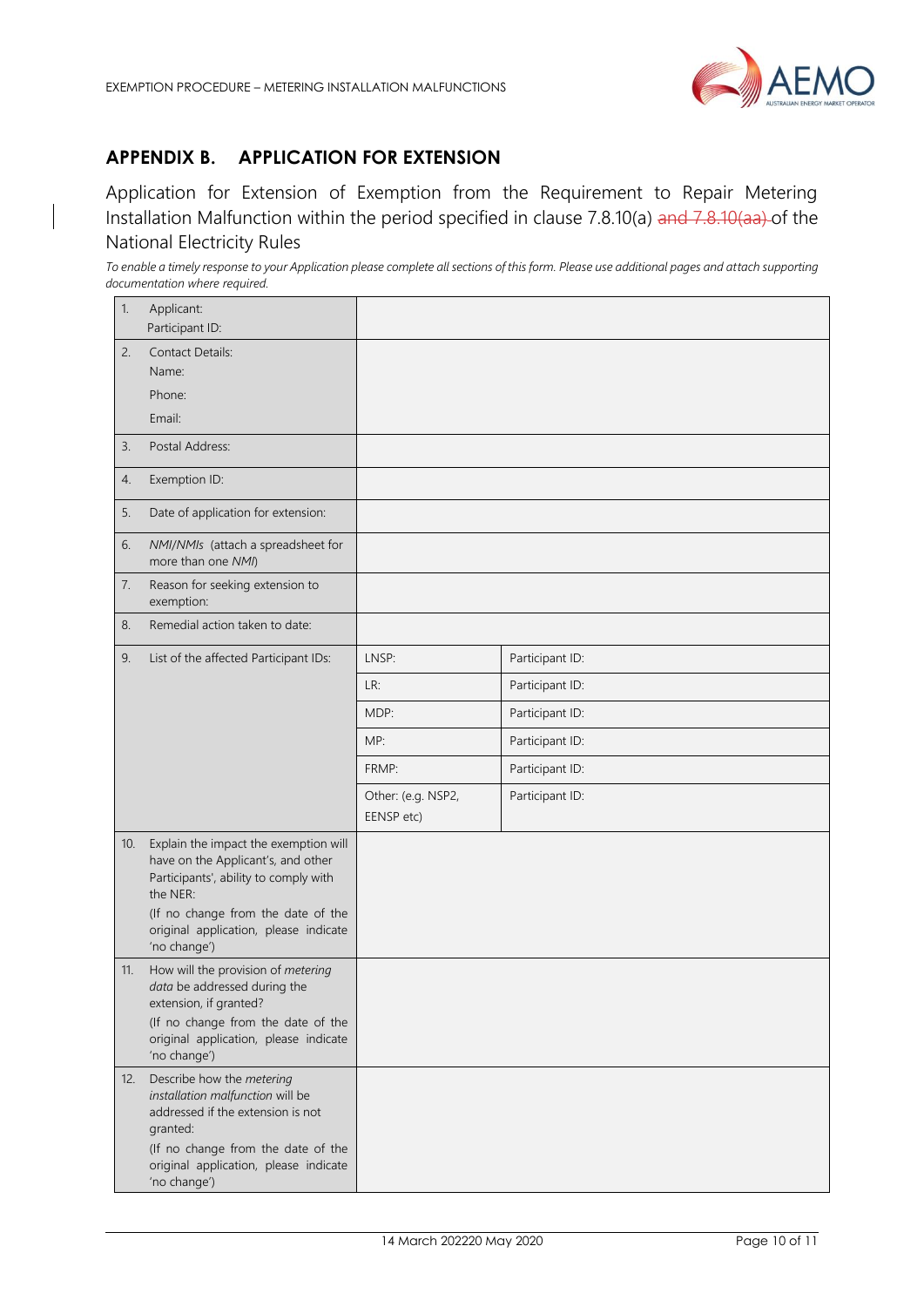

# <span id="page-9-0"></span>**APPENDIX B. APPLICATION FOR EXTENSION**

Application for Extension of Exemption from the Requirement to Repair Metering Installation Malfunction within the period specified in clause 7.8.10(a) and 7.8.10(aa) of the National Electricity Rules

*To enable a timely response to your Application please complete all sections of this form. Please use additional pages and attach supporting documentation where required.* 

| 1.  | Applicant:<br>Participant ID:                                                                                                                                                                                 |                                  |                 |
|-----|---------------------------------------------------------------------------------------------------------------------------------------------------------------------------------------------------------------|----------------------------------|-----------------|
| 2.  | <b>Contact Details:</b><br>Name:<br>Phone:                                                                                                                                                                    |                                  |                 |
|     | Email:                                                                                                                                                                                                        |                                  |                 |
| 3.  | Postal Address:                                                                                                                                                                                               |                                  |                 |
| 4.  | Exemption ID:                                                                                                                                                                                                 |                                  |                 |
| 5.  | Date of application for extension:                                                                                                                                                                            |                                  |                 |
| 6.  | NMI/NMIs (attach a spreadsheet for<br>more than one NMI)                                                                                                                                                      |                                  |                 |
| 7.  | Reason for seeking extension to<br>exemption:                                                                                                                                                                 |                                  |                 |
| 8.  | Remedial action taken to date:                                                                                                                                                                                |                                  |                 |
| 9.  | List of the affected Participant IDs:                                                                                                                                                                         | LNSP:                            | Participant ID: |
|     |                                                                                                                                                                                                               | LR:                              | Participant ID: |
|     |                                                                                                                                                                                                               | MDP:                             | Participant ID: |
|     |                                                                                                                                                                                                               | MP:                              | Participant ID: |
|     |                                                                                                                                                                                                               | FRMP:                            | Participant ID: |
|     |                                                                                                                                                                                                               | Other: (e.g. NSP2,<br>EENSP etc) | Participant ID: |
| 10. | Explain the impact the exemption will<br>have on the Applicant's, and other<br>Participants', ability to comply with<br>the NER:                                                                              |                                  |                 |
|     | (If no change from the date of the<br>original application, please indicate<br>'no change')                                                                                                                   |                                  |                 |
| 11. | How will the provision of metering<br>data be addressed during the<br>extension, if granted?                                                                                                                  |                                  |                 |
|     | (If no change from the date of the<br>original application, please indicate<br>'no change')                                                                                                                   |                                  |                 |
| 12. | Describe how the metering<br>installation malfunction will be<br>addressed if the extension is not<br>granted:<br>(If no change from the date of the<br>original application, please indicate<br>'no change') |                                  |                 |